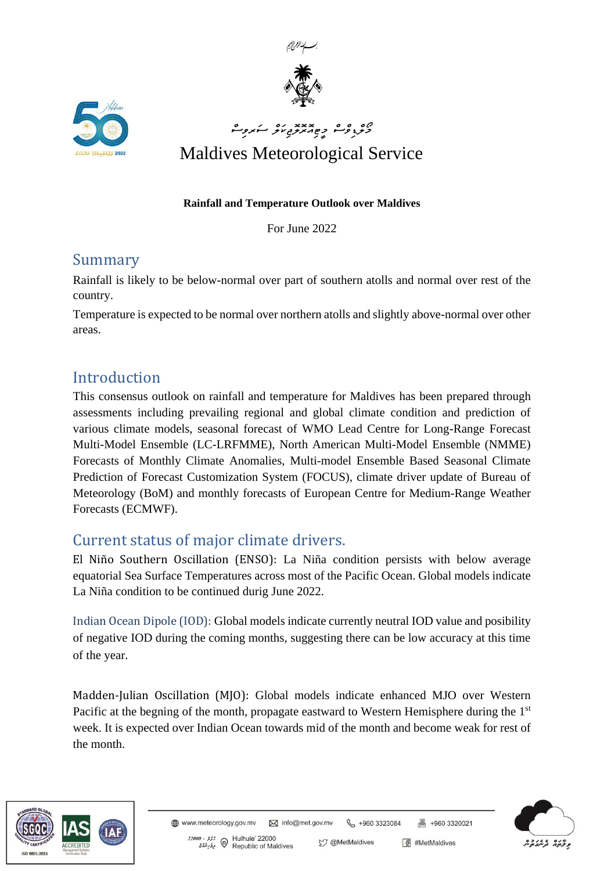



# ם ם ם ה- xxx כם התפיל<br>בנגיליים כשומנים על המפילי Maldives Meteorological Service

#### **Rainfall and Temperature Outlook over Maldives**

For June 2022

#### Summary

Rainfall is likely to be below-normal over part of southern atolls and normal over rest of the country.

Temperature is expected to be normal over northern atolls and slightly above-normal over other areas.

### Introduction

This consensus outlook on rainfall and temperature for Maldives has been prepared through assessments including prevailing regional and global climate condition and prediction of various climate models, seasonal forecast of WMO Lead Centre for Long-Range Forecast Multi-Model Ensemble (LC-LRFMME), North American Multi-Model Ensemble (NMME) Forecasts of Monthly Climate Anomalies, Multi-model Ensemble Based Seasonal Climate Prediction of Forecast Customization System (FOCUS), climate driver update of Bureau of Meteorology (BoM) and monthly forecasts of European Centre for Medium-Range Weather Forecasts (ECMWF).

#### Current status of major climate drivers.

El Niño Southern Oscillation (ENSO): La Niña condition persists with below average equatorial Sea Surface Temperatures across most of the Pacific Ocean. Global models indicate La Niña condition to be continued durig June 2022.

Indian Ocean Dipole (IOD): Global models indicate currently neutral IOD value and posibility of negative IOD during the coming months, suggesting there can be low accuracy at this time of the year.

Madden-Julian Oscillation (MJO): Global models indicate enhanced MJO over Western Pacific at the begning of the month, propagate eastward to Western Hemisphere during the 1<sup>st</sup> week. It is expected over Indian Ocean towards mid of the month and become weak for rest of the month.





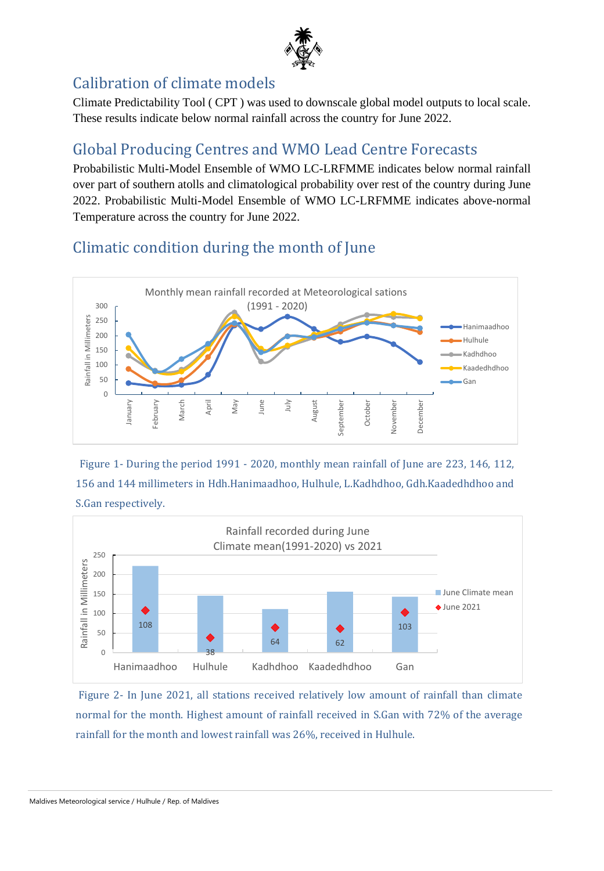

## Calibration of climate models

Climate Predictability Tool ( CPT ) was used to downscale global model outputs to local scale. These results indicate below normal rainfall across the country for June 2022.

### Global Producing Centres and WMO Lead Centre Forecasts

Probabilistic Multi-Model Ensemble of WMO LC-LRFMME indicates below normal rainfall over part of southern atolls and climatological probability over rest of the country during June 2022. Probabilistic Multi-Model Ensemble of WMO LC-LRFMME indicates above-normal Temperature across the country for June 2022.

### Climatic condition during the month of June



Figure 1- During the period 1991 - 2020, monthly mean rainfall of June are 223, 146, 112, 156 and 144 millimeters in Hdh.Hanimaadhoo, Hulhule, L.Kadhdhoo, Gdh.Kaadedhdhoo and S.Gan respectively.



Figure 2- In June 2021, all stations received relatively low amount of rainfall than climate normal for the month. Highest amount of rainfall received in S.Gan with 72% of the average rainfall for the month and lowest rainfall was 26%, received in Hulhule.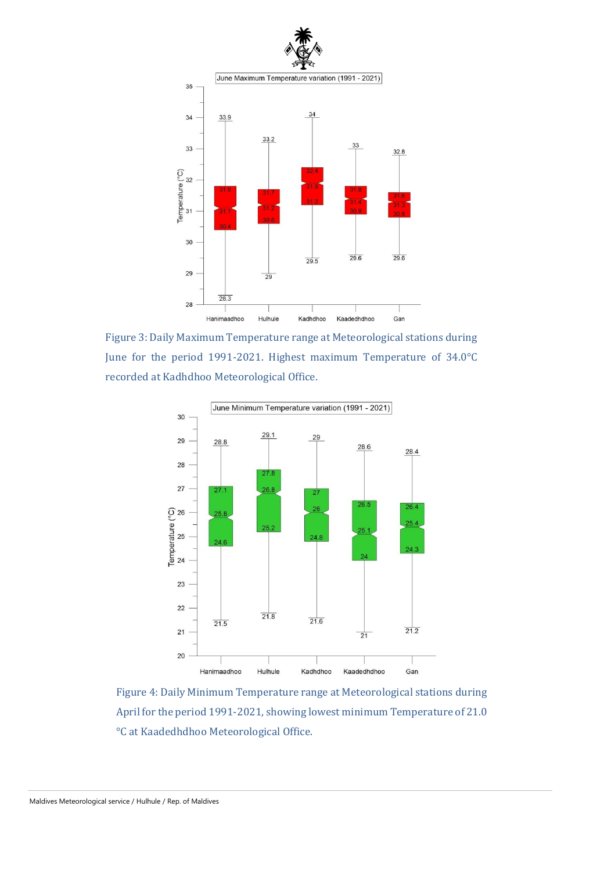

Figure 3: Daily Maximum Temperature range at Meteorological stations during June for the period 1991-2021. Highest maximum Temperature of 34.0°C recorded at Kadhdhoo Meteorological Office.



Figure 4: Daily Minimum Temperature range at Meteorological stations during April for the period 1991-2021, showing lowest minimum Temperature of 21.0 °C at Kaadedhdhoo Meteorological Office.